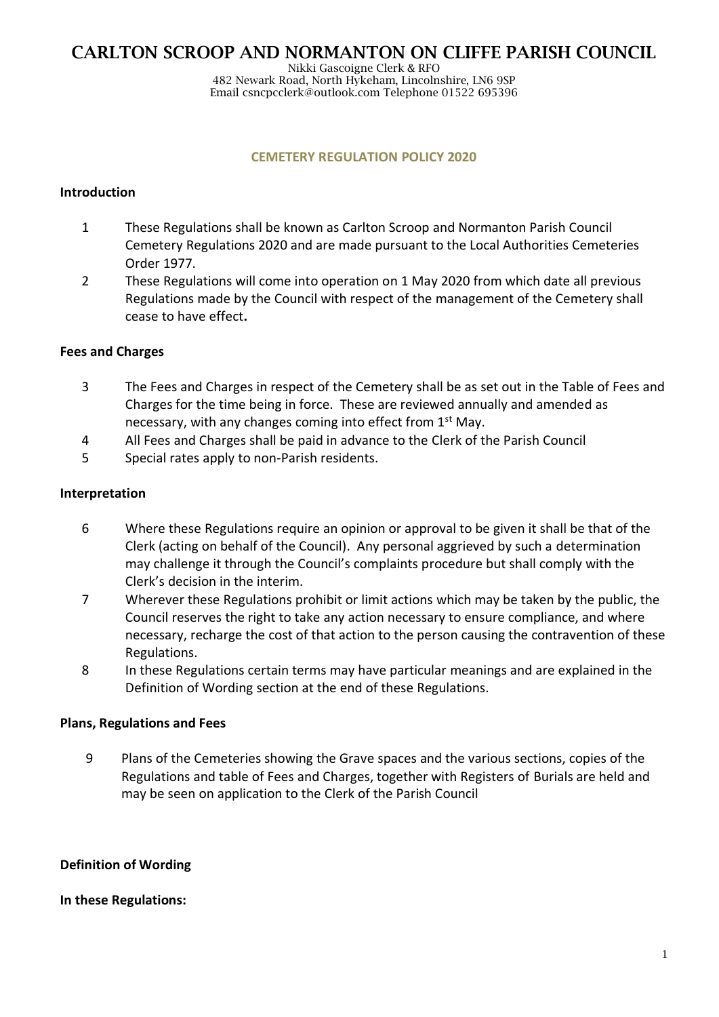Nikki Gascoigne Clerk & RFO 482 Newark Road, North Hykeham, Lincolnshire, LN6 9SP Email csncpcclerk@outlook.com Telephone 01522 695396

#### **CEMETERY REGULATION POLICY 2020**

### **Introduction**

- 1 These Regulations shall be known as Carlton Scroop and Normanton Parish Council Cemetery Regulations 2020 and are made pursuant to the Local Authorities Cemeteries Order 1977.
- 2 These Regulations will come into operation on 1 May 2020 from which date all previous Regulations made by the Council with respect of the management of the Cemetery shall cease to have effect**.**

#### **Fees and Charges**

- 3 The Fees and Charges in respect of the Cemetery shall be as set out in the Table of Fees and Charges for the time being in force. These are reviewed annually and amended as necessary, with any changes coming into effect from 1<sup>st</sup> May.
- 4 All Fees and Charges shall be paid in advance to the Clerk of the Parish Council
- 5 Special rates apply to non-Parish residents.

#### **Interpretation**

- 6 Where these Regulations require an opinion or approval to be given it shall be that of the Clerk (acting on behalf of the Council). Any personal aggrieved by such a determination may challenge it through the Council's complaints procedure but shall comply with the Clerk's decision in the interim.
- 7 Wherever these Regulations prohibit or limit actions which may be taken by the public, the Council reserves the right to take any action necessary to ensure compliance, and where necessary, recharge the cost of that action to the person causing the contravention of these Regulations.
- 8 In these Regulations certain terms may have particular meanings and are explained in the Definition of Wording section at the end of these Regulations.

#### **Plans, Regulations and Fees**

9 Plans of the Cemeteries showing the Grave spaces and the various sections, copies of the Regulations and table of Fees and Charges, together with Registers of Burials are held and may be seen on application to the Clerk of the Parish Council

#### **Definition of Wording**

#### **In these Regulations:**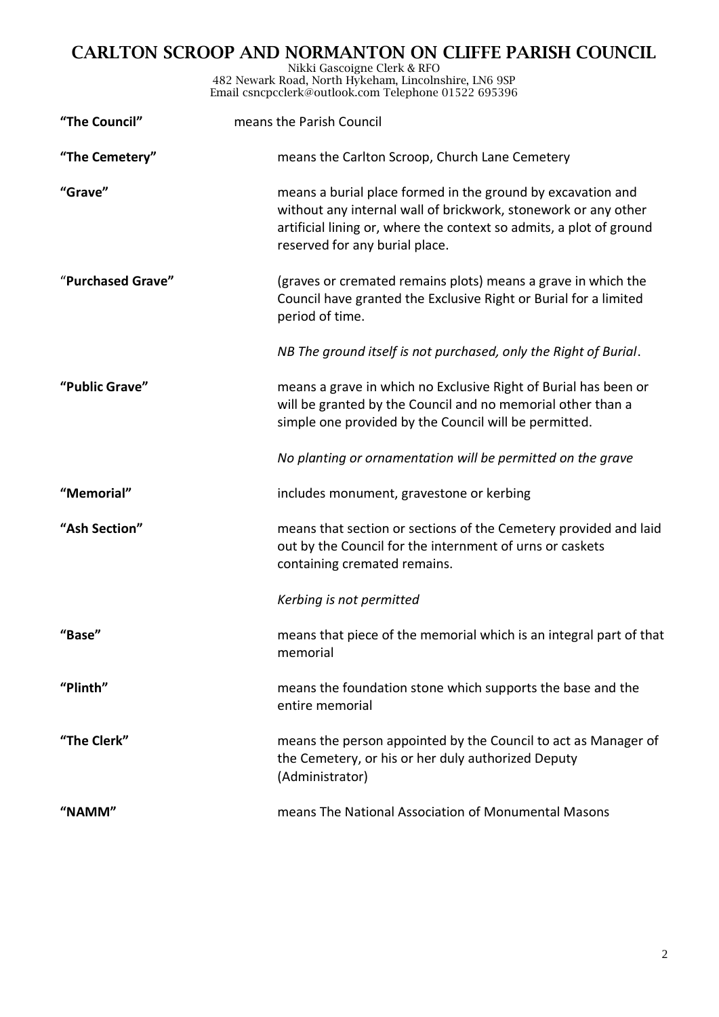Nikki Gascoigne Clerk & RFO 482 Newark Road, North Hykeham, Lincolnshire, LN6 9SP Email csncpcclerk@outlook.com Telephone 01522 695396

| "The Council"     | means the Parish Council                                                                                                                                                                                                               |
|-------------------|----------------------------------------------------------------------------------------------------------------------------------------------------------------------------------------------------------------------------------------|
| "The Cemetery"    | means the Carlton Scroop, Church Lane Cemetery                                                                                                                                                                                         |
| "Grave"           | means a burial place formed in the ground by excavation and<br>without any internal wall of brickwork, stonework or any other<br>artificial lining or, where the context so admits, a plot of ground<br>reserved for any burial place. |
| "Purchased Grave" | (graves or cremated remains plots) means a grave in which the<br>Council have granted the Exclusive Right or Burial for a limited<br>period of time.                                                                                   |
|                   | NB The ground itself is not purchased, only the Right of Burial.                                                                                                                                                                       |
| "Public Grave"    | means a grave in which no Exclusive Right of Burial has been or<br>will be granted by the Council and no memorial other than a<br>simple one provided by the Council will be permitted.                                                |
|                   | No planting or ornamentation will be permitted on the grave                                                                                                                                                                            |
| "Memorial"        | includes monument, gravestone or kerbing                                                                                                                                                                                               |
| "Ash Section"     | means that section or sections of the Cemetery provided and laid<br>out by the Council for the internment of urns or caskets<br>containing cremated remains.                                                                           |
|                   | Kerbing is not permitted                                                                                                                                                                                                               |
| "Base"            | means that piece of the memorial which is an integral part of that<br>memorial                                                                                                                                                         |
| "Plinth"          | means the foundation stone which supports the base and the<br>entire memorial                                                                                                                                                          |
| "The Clerk"       | means the person appointed by the Council to act as Manager of<br>the Cemetery, or his or her duly authorized Deputy<br>(Administrator)                                                                                                |
| "NAMM"            | means The National Association of Monumental Masons                                                                                                                                                                                    |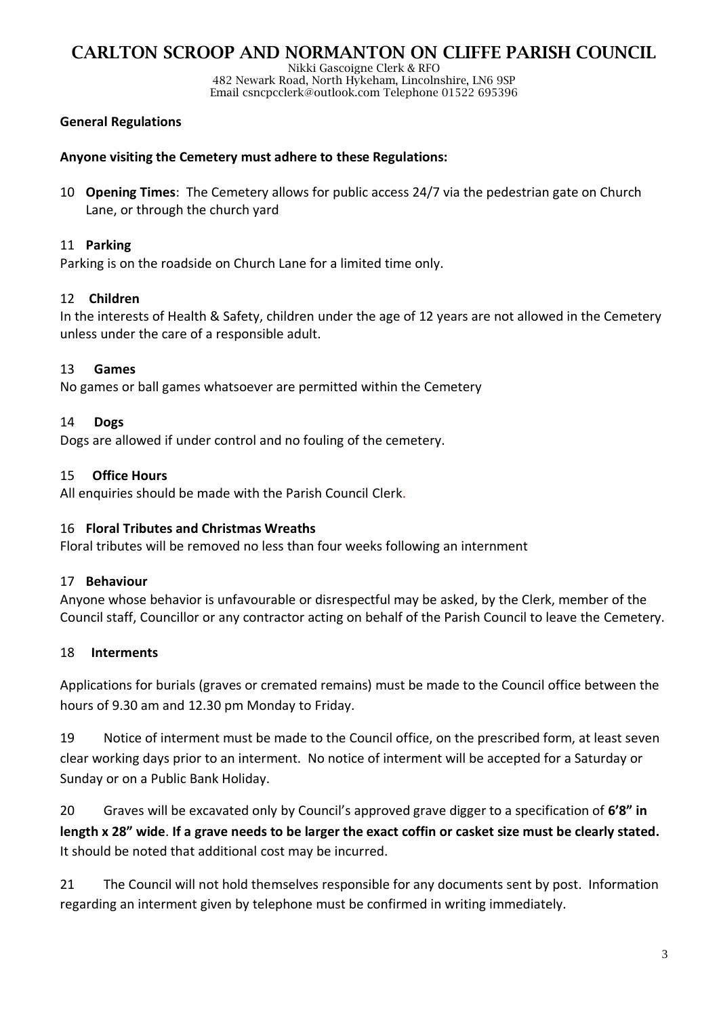Nikki Gascoigne Clerk & RFO 482 Newark Road, North Hykeham, Lincolnshire, LN6 9SP Email csncpcclerk@outlook.com Telephone 01522 695396

### **General Regulations**

### **Anyone visiting the Cemetery must adhere to these Regulations:**

10 **Opening Times**: The Cemetery allows for public access 24/7 via the pedestrian gate on Church Lane, or through the church yard

### 11 **Parking**

Parking is on the roadside on Church Lane for a limited time only.

### 12 **Children**

In the interests of Health & Safety, children under the age of 12 years are not allowed in the Cemetery unless under the care of a responsible adult.

### 13 **Games**

No games or ball games whatsoever are permitted within the Cemetery

### 14 **Dogs**

Dogs are allowed if under control and no fouling of the cemetery.

#### 15 **Office Hours**

All enquiries should be made with the Parish Council Clerk.

#### 16 **Floral Tributes and Christmas Wreaths**

Floral tributes will be removed no less than four weeks following an internment

### 17 **Behaviour**

Anyone whose behavior is unfavourable or disrespectful may be asked, by the Clerk, member of the Council staff, Councillor or any contractor acting on behalf of the Parish Council to leave the Cemetery.

### 18 **Interments**

Applications for burials (graves or cremated remains) must be made to the Council office between the hours of 9.30 am and 12.30 pm Monday to Friday.

19 Notice of interment must be made to the Council office, on the prescribed form, at least seven clear working days prior to an interment. No notice of interment will be accepted for a Saturday or Sunday or on a Public Bank Holiday.

20 Graves will be excavated only by Council's approved grave digger to a specification of **6'8" in length x 28" wide**. **If a grave needs to be larger the exact coffin or casket size must be clearly stated.**  It should be noted that additional cost may be incurred.

21 The Council will not hold themselves responsible for any documents sent by post. Information regarding an interment given by telephone must be confirmed in writing immediately.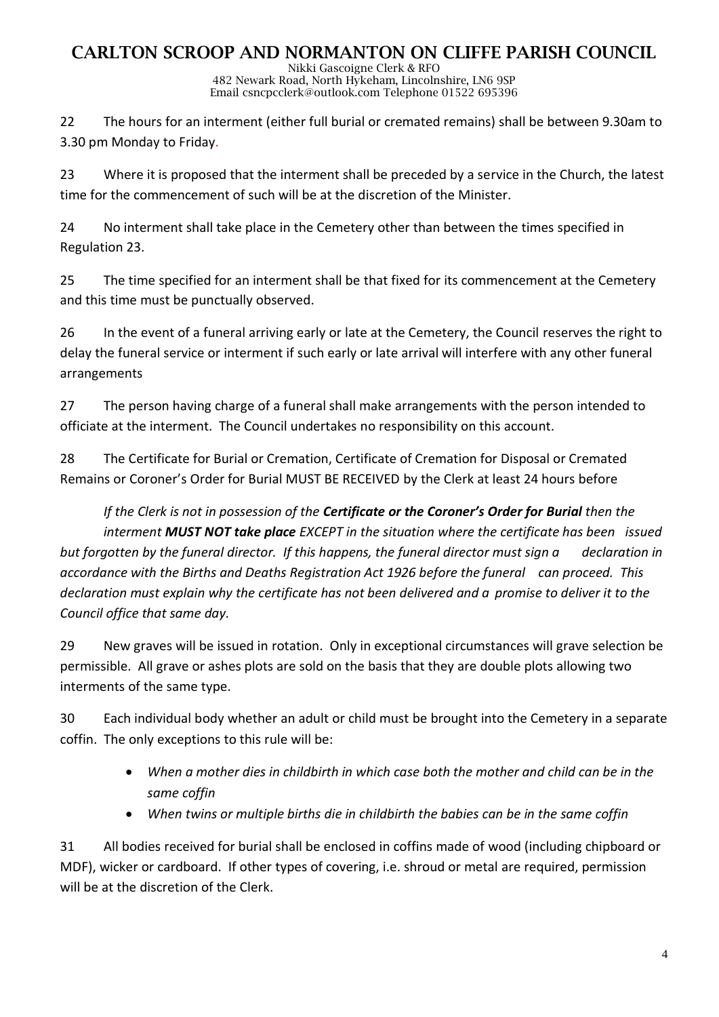Nikki Gascoigne Clerk & RFO 482 Newark Road, North Hykeham, Lincolnshire, LN6 9SP Email csncpcclerk@outlook.com Telephone 01522 695396

22 The hours for an interment (either full burial or cremated remains) shall be between 9.30am to 3.30 pm Monday to Friday.

23 Where it is proposed that the interment shall be preceded by a service in the Church, the latest time for the commencement of such will be at the discretion of the Minister.

24 No interment shall take place in the Cemetery other than between the times specified in Regulation 23.

25 The time specified for an interment shall be that fixed for its commencement at the Cemetery and this time must be punctually observed.

26 In the event of a funeral arriving early or late at the Cemetery, the Council reserves the right to delay the funeral service or interment if such early or late arrival will interfere with any other funeral arrangements

27 The person having charge of a funeral shall make arrangements with the person intended to officiate at the interment. The Council undertakes no responsibility on this account.

28 The Certificate for Burial or Cremation, Certificate of Cremation for Disposal or Cremated Remains or Coroner's Order for Burial MUST BE RECEIVED by the Clerk at least 24 hours before

*If the Clerk is not in possession of the Certificate or the Coroner's Order for Burial then the interment MUST NOT take place EXCEPT in the situation where the certificate has been issued but forgotten by the funeral director. If this happens, the funeral director must sign a declaration in accordance with the Births and Deaths Registration Act 1926 before the funeral can proceed. This declaration must explain why the certificate has not been delivered and a promise to deliver it to the Council office that same day.*

29 New graves will be issued in rotation. Only in exceptional circumstances will grave selection be permissible. All grave or ashes plots are sold on the basis that they are double plots allowing two interments of the same type.

30 Each individual body whether an adult or child must be brought into the Cemetery in a separate coffin. The only exceptions to this rule will be:

- *When a mother dies in childbirth in which case both the mother and child can be in the same coffin*
- *When twins or multiple births die in childbirth the babies can be in the same coffin*

31 All bodies received for burial shall be enclosed in coffins made of wood (including chipboard or MDF), wicker or cardboard. If other types of covering, i.e. shroud or metal are required, permission will be at the discretion of the Clerk.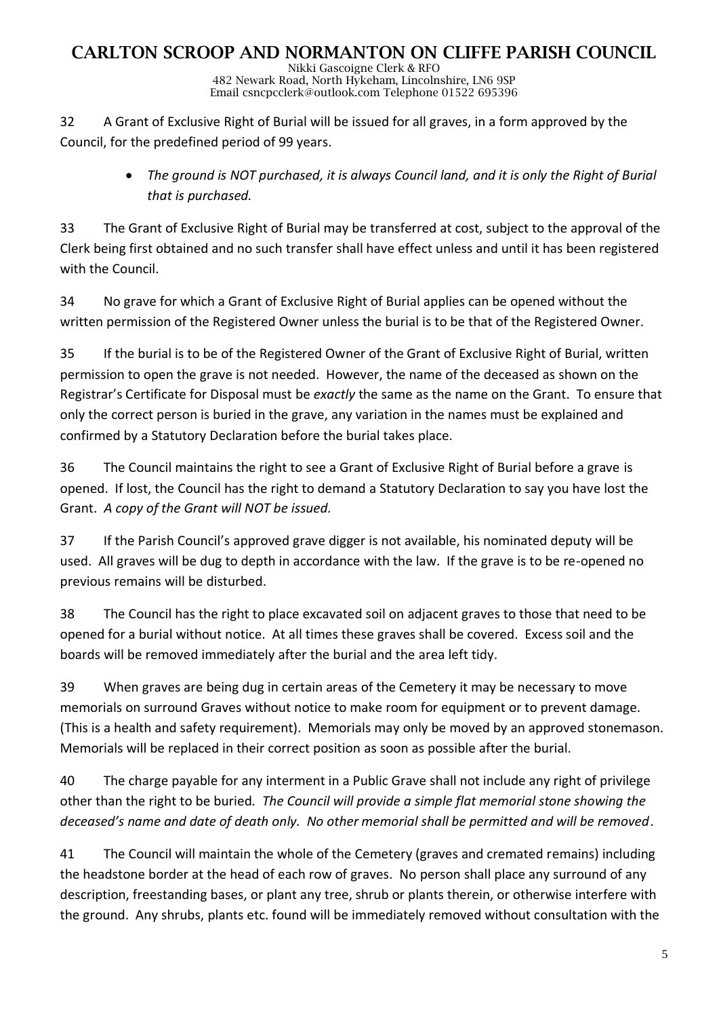Nikki Gascoigne Clerk & RFO 482 Newark Road, North Hykeham, Lincolnshire, LN6 9SP Email csncpcclerk@outlook.com Telephone 01522 695396

32 A Grant of Exclusive Right of Burial will be issued for all graves, in a form approved by the Council, for the predefined period of 99 years.

> • The ground is NOT purchased, it is always Council land, and it is only the Right of Burial *that is purchased.*

33 The Grant of Exclusive Right of Burial may be transferred at cost, subject to the approval of the Clerk being first obtained and no such transfer shall have effect unless and until it has been registered with the Council.

34 No grave for which a Grant of Exclusive Right of Burial applies can be opened without the written permission of the Registered Owner unless the burial is to be that of the Registered Owner.

35 If the burial is to be of the Registered Owner of the Grant of Exclusive Right of Burial, written permission to open the grave is not needed. However, the name of the deceased as shown on the Registrar's Certificate for Disposal must be *exactly* the same as the name on the Grant. To ensure that only the correct person is buried in the grave, any variation in the names must be explained and confirmed by a Statutory Declaration before the burial takes place.

36 The Council maintains the right to see a Grant of Exclusive Right of Burial before a grave is opened. If lost, the Council has the right to demand a Statutory Declaration to say you have lost the Grant. *A copy of the Grant will NOT be issued.*

37 If the Parish Council's approved grave digger is not available, his nominated deputy will be used. All graves will be dug to depth in accordance with the law. If the grave is to be re-opened no previous remains will be disturbed.

38 The Council has the right to place excavated soil on adjacent graves to those that need to be opened for a burial without notice. At all times these graves shall be covered. Excess soil and the boards will be removed immediately after the burial and the area left tidy.

39 When graves are being dug in certain areas of the Cemetery it may be necessary to move memorials on surround Graves without notice to make room for equipment or to prevent damage. (This is a health and safety requirement). Memorials may only be moved by an approved stonemason. Memorials will be replaced in their correct position as soon as possible after the burial.

40 The charge payable for any interment in a Public Grave shall not include any right of privilege other than the right to be buried*. The Council will provide a simple flat memorial stone showing the deceased's name and date of death only. No other memorial shall be permitted and will be removed*.

41 The Council will maintain the whole of the Cemetery (graves and cremated remains) including the headstone border at the head of each row of graves. No person shall place any surround of any description, freestanding bases, or plant any tree, shrub or plants therein, or otherwise interfere with the ground. Any shrubs, plants etc. found will be immediately removed without consultation with the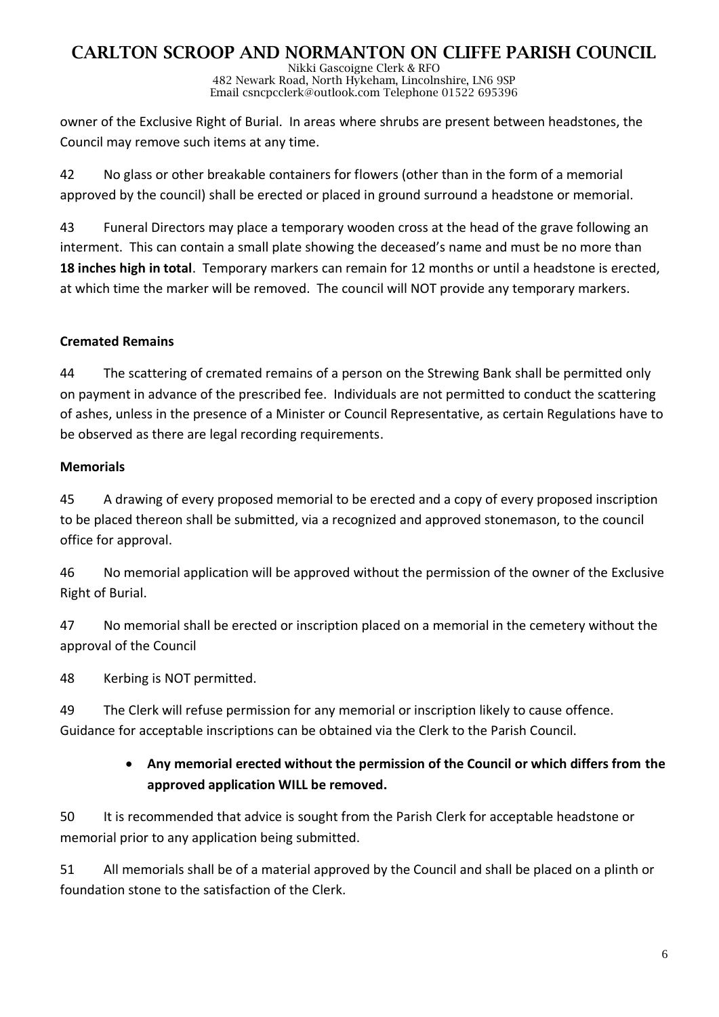Nikki Gascoigne Clerk & RFO 482 Newark Road, North Hykeham, Lincolnshire, LN6 9SP Email csncpcclerk@outlook.com Telephone 01522 695396

owner of the Exclusive Right of Burial. In areas where shrubs are present between headstones, the Council may remove such items at any time.

42 No glass or other breakable containers for flowers (other than in the form of a memorial approved by the council) shall be erected or placed in ground surround a headstone or memorial.

43 Funeral Directors may place a temporary wooden cross at the head of the grave following an interment. This can contain a small plate showing the deceased's name and must be no more than **18 inches high in total**. Temporary markers can remain for 12 months or until a headstone is erected, at which time the marker will be removed. The council will NOT provide any temporary markers.

## **Cremated Remains**

44 The scattering of cremated remains of a person on the Strewing Bank shall be permitted only on payment in advance of the prescribed fee. Individuals are not permitted to conduct the scattering of ashes, unless in the presence of a Minister or Council Representative, as certain Regulations have to be observed as there are legal recording requirements.

### **Memorials**

45 A drawing of every proposed memorial to be erected and a copy of every proposed inscription to be placed thereon shall be submitted, via a recognized and approved stonemason, to the council office for approval.

46 No memorial application will be approved without the permission of the owner of the Exclusive Right of Burial.

47 No memorial shall be erected or inscription placed on a memorial in the cemetery without the approval of the Council

48 Kerbing is NOT permitted.

49 The Clerk will refuse permission for any memorial or inscription likely to cause offence. Guidance for acceptable inscriptions can be obtained via the Clerk to the Parish Council.

## • **Any memorial erected without the permission of the Council or which differs from the approved application WILL be removed.**

50 It is recommended that advice is sought from the Parish Clerk for acceptable headstone or memorial prior to any application being submitted.

51 All memorials shall be of a material approved by the Council and shall be placed on a plinth or foundation stone to the satisfaction of the Clerk.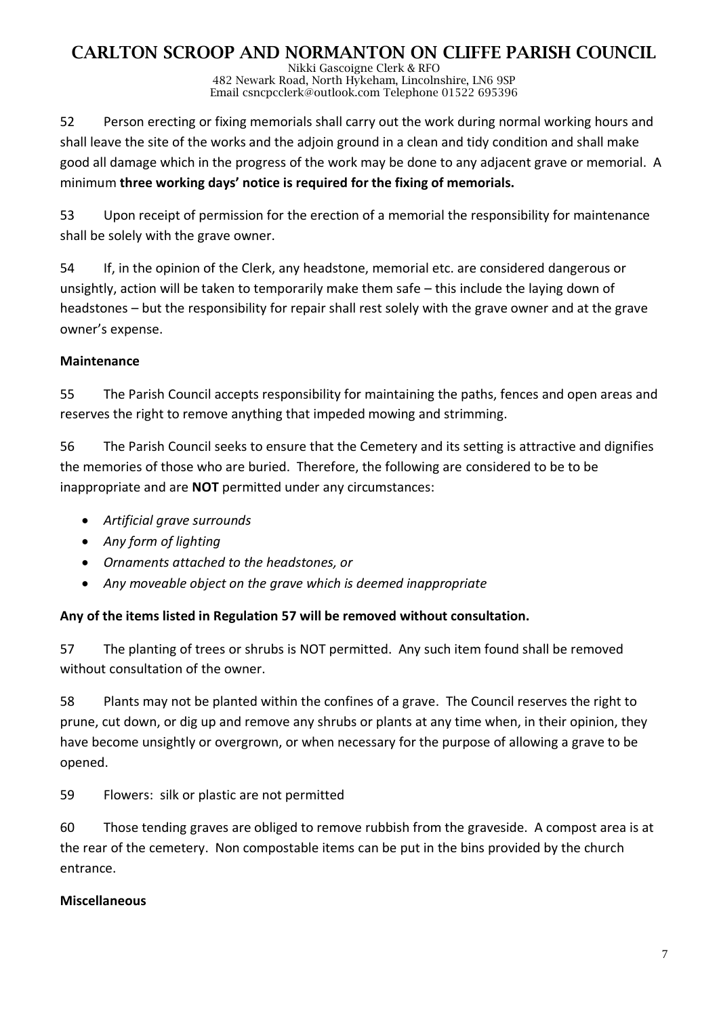Nikki Gascoigne Clerk & RFO 482 Newark Road, North Hykeham, Lincolnshire, LN6 9SP Email csncpcclerk@outlook.com Telephone 01522 695396

52 Person erecting or fixing memorials shall carry out the work during normal working hours and shall leave the site of the works and the adjoin ground in a clean and tidy condition and shall make good all damage which in the progress of the work may be done to any adjacent grave or memorial. A minimum **three working days' notice is required for the fixing of memorials.**

53 Upon receipt of permission for the erection of a memorial the responsibility for maintenance shall be solely with the grave owner.

54 If, in the opinion of the Clerk, any headstone, memorial etc. are considered dangerous or unsightly, action will be taken to temporarily make them safe – this include the laying down of headstones – but the responsibility for repair shall rest solely with the grave owner and at the grave owner's expense.

## **Maintenance**

55 The Parish Council accepts responsibility for maintaining the paths, fences and open areas and reserves the right to remove anything that impeded mowing and strimming.

56 The Parish Council seeks to ensure that the Cemetery and its setting is attractive and dignifies the memories of those who are buried. Therefore, the following are considered to be to be inappropriate and are **NOT** permitted under any circumstances:

- *Artificial grave surrounds*
- *Any form of lighting*
- *Ornaments attached to the headstones, or*
- *Any moveable object on the grave which is deemed inappropriate*

## **Any of the items listed in Regulation 57 will be removed without consultation.**

57 The planting of trees or shrubs is NOT permitted. Any such item found shall be removed without consultation of the owner.

58 Plants may not be planted within the confines of a grave. The Council reserves the right to prune, cut down, or dig up and remove any shrubs or plants at any time when, in their opinion, they have become unsightly or overgrown, or when necessary for the purpose of allowing a grave to be opened.

59 Flowers: silk or plastic are not permitted

60 Those tending graves are obliged to remove rubbish from the graveside. A compost area is at the rear of the cemetery. Non compostable items can be put in the bins provided by the church entrance.

## **Miscellaneous**